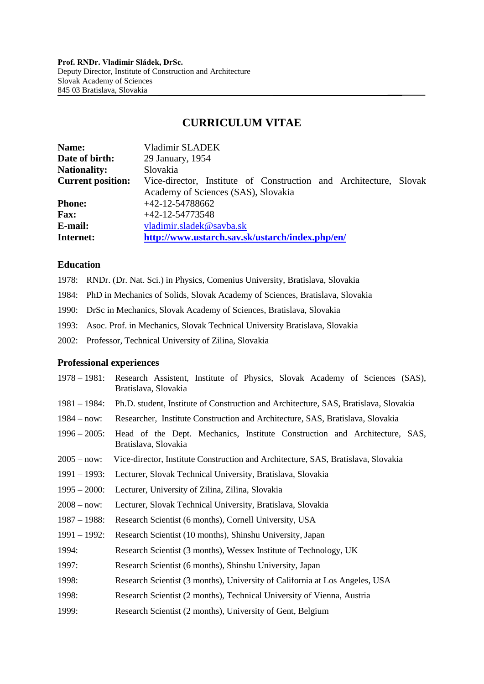# **CURRICULUM VITAE**

| Name:                    | Vladimir SLADEK                                                   |
|--------------------------|-------------------------------------------------------------------|
| Date of birth:           | 29 January, 1954                                                  |
| <b>Nationality:</b>      | Slovakia                                                          |
| <b>Current position:</b> | Vice-director, Institute of Construction and Architecture, Slovak |
|                          | Academy of Sciences (SAS), Slovakia                               |
| <b>Phone:</b>            | $+42-12-54788662$                                                 |
| <b>Fax:</b>              | $+42-12-54773548$                                                 |
| E-mail:                  | vladimir.sladek@savba.sk                                          |
| Internet:                | http://www.ustarch.sav.sk/ustarch/index.php/en/                   |

### **Education**

- 1978: RNDr. (Dr. Nat. Sci.) in Physics, Comenius University, Bratislava, Slovakia
- 1984: PhD in Mechanics of Solids, Slovak Academy of Sciences, Bratislava, Slovakia
- 1990: DrSc in Mechanics, Slovak Academy of Sciences, Bratislava, Slovakia
- 1993: Asoc. Prof. in Mechanics, Slovak Technical University Bratislava, Slovakia
- 2002: Professor, Technical University of Zilina, Slovakia

#### **Professional experiences**

| $1978 - 1981$ : | Research Assistent, Institute of Physics, Slovak Academy of Sciences (SAS),<br>Bratislava, Slovakia |
|-----------------|-----------------------------------------------------------------------------------------------------|
| $1981 - 1984$ : | Ph.D. student, Institute of Construction and Architecture, SAS, Bratislava, Slovakia                |
| $1984 - now:$   | Researcher, Institute Construction and Architecture, SAS, Bratislava, Slovakia                      |
| $1996 - 2005$ : | Head of the Dept. Mechanics, Institute Construction and Architecture, SAS,<br>Bratislava, Slovakia  |
| $2005 - now:$   | Vice-director, Institute Construction and Architecture, SAS, Bratislava, Slovakia                   |
| $1991 - 1993$ : | Lecturer, Slovak Technical University, Bratislava, Slovakia                                         |
| $1995 - 2000$ : | Lecturer, University of Zilina, Zilina, Slovakia                                                    |
| $2008 - now:$   | Lecturer, Slovak Technical University, Bratislava, Slovakia                                         |
| $1987 - 1988$ : | Research Scientist (6 months), Cornell University, USA                                              |
| $1991 - 1992$ : | Research Scientist (10 months), Shinshu University, Japan                                           |
| 1994:           | Research Scientist (3 months), Wessex Institute of Technology, UK                                   |
| 1997:           | Research Scientist (6 months), Shinshu University, Japan                                            |
| 1998:           | Research Scientist (3 months), University of California at Los Angeles, USA                         |
| 1998:           | Research Scientist (2 months), Technical University of Vienna, Austria                              |
| 1999:           | Research Scientist (2 months), University of Gent, Belgium                                          |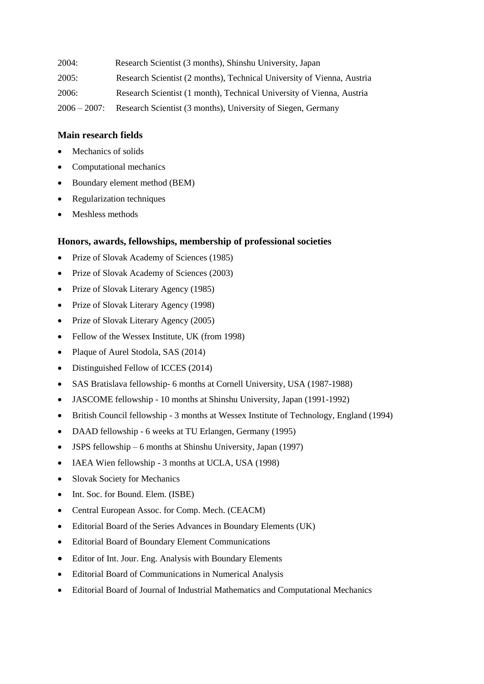| 2004:           | Research Scientist (3 months), Shinshu University, Japan               |
|-----------------|------------------------------------------------------------------------|
| 2005:           | Research Scientist (2 months), Technical University of Vienna, Austria |
| 2006:           | Research Scientist (1 month), Technical University of Vienna, Austria  |
| $2006 - 2007$ : | Research Scientist (3 months), University of Siegen, Germany           |

#### **Main research fields**

- Mechanics of solids
- Computational mechanics
- Boundary element method (BEM)
- Regularization techniques
- Meshless methods

#### **Honors, awards, fellowships, membership of professional societies**

- Prize of Slovak Academy of Sciences (1985)
- Prize of Slovak Academy of Sciences (2003)
- Prize of Slovak Literary Agency (1985)
- Prize of Slovak Literary Agency (1998)
- Prize of Slovak Literary Agency (2005)
- Fellow of the Wessex Institute, UK (from 1998)
- Plaque of Aurel Stodola, SAS (2014)
- Distinguished Fellow of ICCES (2014)
- SAS Bratislava fellowship- 6 months at Cornell University, USA (1987-1988)
- JASCOME fellowship 10 months at Shinshu University, Japan (1991-1992)
- British Council fellowship 3 months at Wessex Institute of Technology, England (1994)
- DAAD fellowship 6 weeks at TU Erlangen, Germany (1995)
- JSPS fellowship 6 months at Shinshu University, Japan (1997)
- IAEA Wien fellowship 3 months at UCLA, USA (1998)
- Slovak Society for Mechanics
- Int. Soc. for Bound. Elem. (ISBE)
- Central European Assoc. for Comp. Mech. (CEACM)
- Editorial Board of the Series Advances in Boundary Elements (UK)
- Editorial Board of Boundary Element Communications
- Editor of Int. Jour. Eng. Analysis with Boundary Elements
- Editorial Board of Communications in Numerical Analysis
- Editorial Board of Journal of Industrial Mathematics and Computational Mechanics